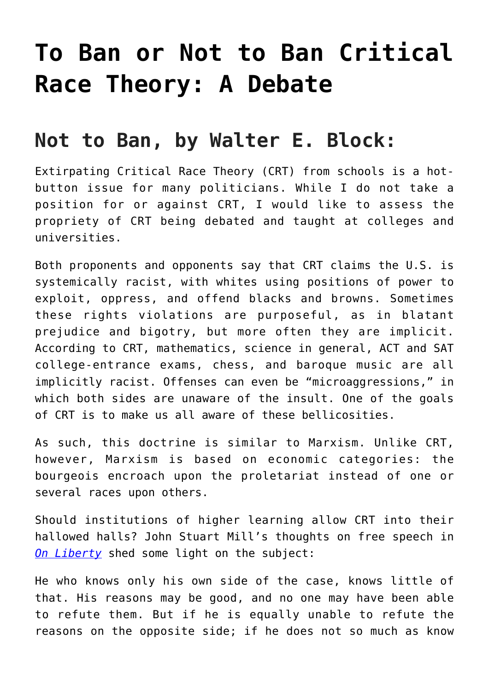## **[To Ban or Not to Ban Critical](https://intellectualtakeout.org/2021/09/to-ban-or-not-to-ban-critical-race-theory-a-debate/) [Race Theory: A Debate](https://intellectualtakeout.org/2021/09/to-ban-or-not-to-ban-critical-race-theory-a-debate/)**

## **Not to Ban, by Walter E. Block:**

Extirpating Critical Race Theory (CRT) from schools is a hotbutton issue for many politicians. While I do not take a position for or against CRT, I would like to assess the propriety of CRT being debated and taught at colleges and universities.

Both proponents and opponents say that CRT claims the U.S. is systemically racist, with whites using positions of power to exploit, oppress, and offend blacks and browns. Sometimes these rights violations are purposeful, as in blatant prejudice and bigotry, but more often they are implicit. According to CRT, mathematics, science in general, ACT and SAT college-entrance exams, chess, and baroque music are all implicitly racist. Offenses can even be "microaggressions," in which both sides are unaware of the insult. One of the goals of CRT is to make us all aware of these bellicosities.

As such, this doctrine is similar to Marxism. Unlike CRT, however, Marxism is based on economic categories: the bourgeois encroach upon the proletariat instead of one or several races upon others.

Should institutions of higher learning allow CRT into their hallowed halls? John Stuart Mill's thoughts on free speech in *[On Liberty](https://www.gutenberg.org/cache/epub/34901/pg34901-images.html)* shed some light on the subject:

He who knows only his own side of the case, knows little of that. His reasons may be good, and no one may have been able to refute them. But if he is equally unable to refute the reasons on the opposite side; if he does not so much as know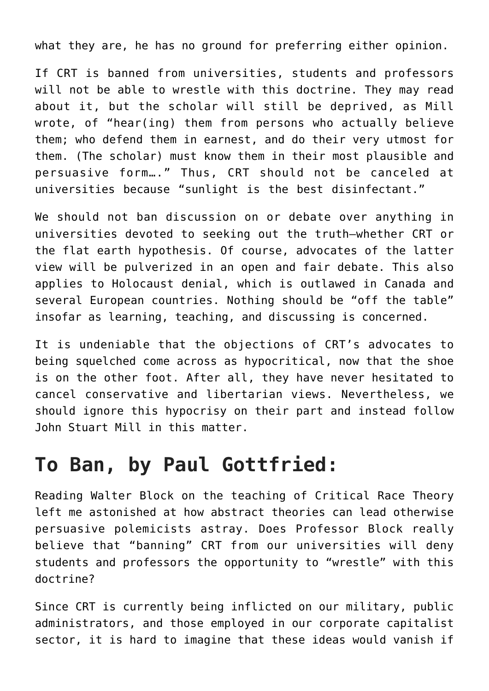what they are, he has no ground for preferring either opinion.

If CRT is banned from universities, students and professors will not be able to wrestle with this doctrine. They may read about it, but the scholar will still be deprived, as Mill wrote, of "hear(ing) them from persons who actually believe them; who defend them in earnest, and do their very utmost for them. (The scholar) must know them in their most plausible and persuasive form…." Thus, CRT should not be canceled at universities because "sunlight is the best disinfectant."

We should not ban discussion on or debate over anything in universities devoted to seeking out the truth—whether CRT or the flat earth hypothesis. Of course, advocates of the latter view will be pulverized in an open and fair debate. This also applies to Holocaust denial, which is outlawed in Canada and several European countries. Nothing should be "off the table" insofar as learning, teaching, and discussing is concerned.

It is undeniable that the objections of CRT's advocates to being squelched come across as hypocritical, now that the shoe is on the other foot. After all, they have never hesitated to cancel conservative and libertarian views. Nevertheless, we should ignore this hypocrisy on their part and instead follow John Stuart Mill in this matter.

## **To Ban, by Paul Gottfried:**

Reading Walter Block on the teaching of Critical Race Theory left me astonished at how abstract theories can lead otherwise persuasive polemicists astray. Does Professor Block really believe that "banning" CRT from our universities will deny students and professors the opportunity to "wrestle" with this doctrine?

Since CRT is currently being inflicted on our military, public administrators, and those employed in our corporate capitalist sector, it is hard to imagine that these ideas would vanish if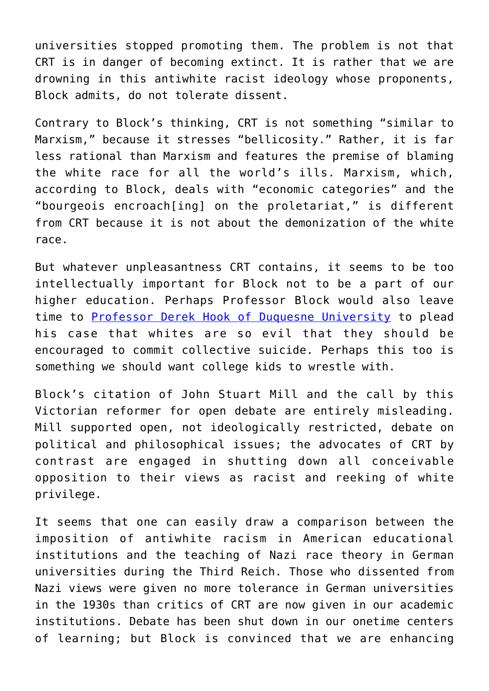universities stopped promoting them. The problem is not that CRT is in danger of becoming extinct. It is rather that we are drowning in this antiwhite racist ideology whose proponents, Block admits, do not tolerate dissent.

Contrary to Block's thinking, CRT is not something "similar to Marxism," because it stresses "bellicosity." Rather, it is far less rational than Marxism and features the premise of blaming the white race for all the world's ills. Marxism, which, according to Block, deals with "economic categories" and the "bourgeois encroach[ing] on the proletariat," is different from CRT because it is not about the demonization of the white race.

But whatever unpleasantness CRT contains, it seems to be too intellectually important for Block not to be a part of our higher education. Perhaps Professor Block would also leave time to [Professor Derek Hook of Duquesne University](https://meaww.com/psychology-prof-derek-hook-supports-white-peoples-suicide-twitter-says-you-first) to plead his case that whites are so evil that they should be encouraged to commit collective suicide. Perhaps this too is something we should want college kids to wrestle with.

Block's citation of John Stuart Mill and the call by this Victorian reformer for open debate are entirely misleading. Mill supported open, not ideologically restricted, debate on political and philosophical issues; the advocates of CRT by contrast are engaged in shutting down all conceivable opposition to their views as racist and reeking of white privilege.

It seems that one can easily draw a comparison between the imposition of antiwhite racism in American educational institutions and the teaching of Nazi race theory in German universities during the Third Reich. Those who dissented from Nazi views were given no more tolerance in German universities in the 1930s than critics of CRT are now given in our academic institutions. Debate has been shut down in our onetime centers of learning; but Block is convinced that we are enhancing